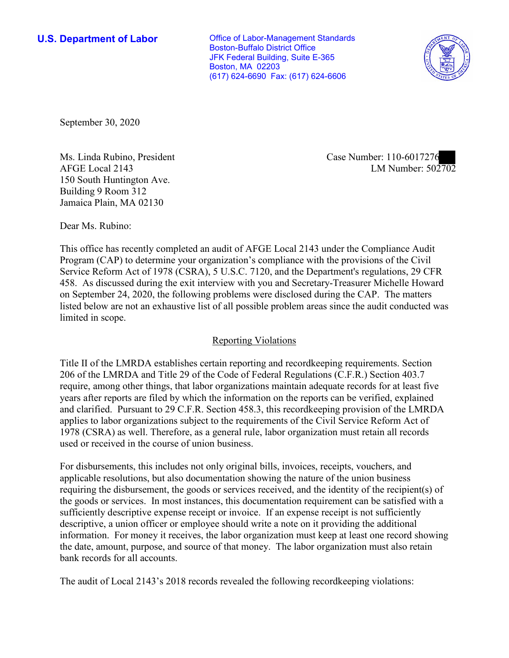**U.S. Department of Labor Conservative Conservative Conservative Conservative U.S.** Department of Labor Boston-Buffalo District Office JFK Federal Building, Suite E-365 Boston, MA 02203 (617) 624-6690 Fax: (617) 624-6606



September 30, 2020

Ms. Linda Rubino, President Case Number: 110-6017276 150 South Huntington Ave. Building 9 Room 312 Jamaica Plain, MA 02130

AFGE Local 2143 LM Number: 502702

Dear Ms. Rubino:

 This office has recently completed an audit of AFGE Local 2143 under the Compliance Audit Program (CAP) to determine your organization's compliance with the provisions of the Civil 458. As discussed during the exit interview with you and Secretary-Treasurer Michelle Howard Service Reform Act of 1978 (CSRA), 5 U.S.C. 7120, and the Department's regulations, 29 CFR on September 24, 2020, the following problems were disclosed during the CAP. The matters listed below are not an exhaustive list of all possible problem areas since the audit conducted was limited in scope.

# Reporting Violations

 Title II of the LMRDA establishes certain reporting and recordkeeping requirements. Section and clarified. Pursuant to 29 C.F.R. Section 458.3, this recordkeeping provision of the LMRDA 206 of the LMRDA and Title 29 of the Code of Federal Regulations (C.F.R.) Section 403.7 require, among other things, that labor organizations maintain adequate records for at least five years after reports are filed by which the information on the reports can be verified, explained applies to labor organizations subject to the requirements of the Civil Service Reform Act of 1978 (CSRA) as well. Therefore, as a general rule, labor organization must retain all records used or received in the course of union business.

 the goods or services. In most instances, this documentation requirement can be satisfied with a For disbursements, this includes not only original bills, invoices, receipts, vouchers, and applicable resolutions, but also documentation showing the nature of the union business requiring the disbursement, the goods or services received, and the identity of the recipient(s) of sufficiently descriptive expense receipt or invoice. If an expense receipt is not sufficiently descriptive, a union officer or employee should write a note on it providing the additional information. For money it receives, the labor organization must keep at least one record showing the date, amount, purpose, and source of that money. The labor organization must also retain bank records for all accounts.

The audit of Local 2143's 2018 records revealed the following recordkeeping violations: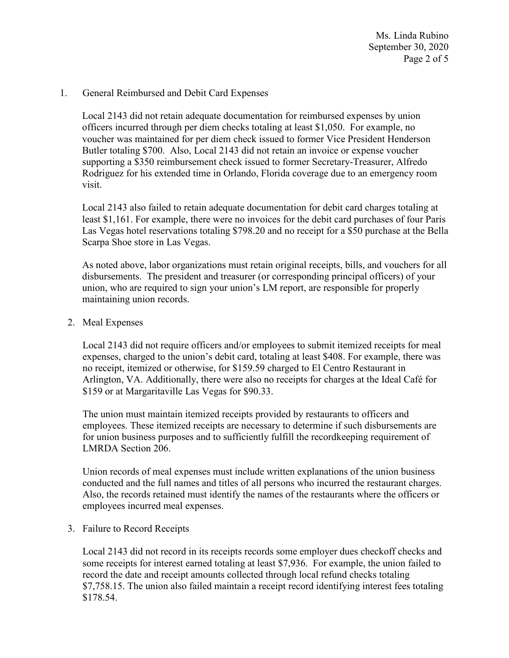Ms. Linda Rubino September 30, 2020 Page 2 of 5

## 1. General Reimbursed and Debit Card Expenses

Local 2143 did not retain adequate documentation for reimbursed expenses by union officers incurred through per diem checks totaling at least \$1,050. For example, no voucher was maintained for per diem check issued to former Vice President Henderson Butler totaling \$700. Also, Local 2143 did not retain an invoice or expense voucher supporting a \$350 reimbursement check issued to former Secretary-Treasurer, Alfredo Rodriguez for his extended time in Orlando, Florida coverage due to an emergency room visit.

 Las Vegas hotel reservations totaling \$798.20 and no receipt for a \$50 purchase at the Bella Local 2143 also failed to retain adequate documentation for debit card charges totaling at least \$1,161. For example, there were no invoices for the debit card purchases of four Paris Scarpa Shoe store in Las Vegas.

 disbursements. The president and treasurer (or corresponding principal officers) of your As noted above, labor organizations must retain original receipts, bills, and vouchers for all union, who are required to sign your union's LM report, are responsible for properly maintaining union records.

## 2. Meal Expenses

Local 2143 did not require officers and/or employees to submit itemized receipts for meal expenses, charged to the union's debit card, totaling at least \$408. For example, there was no receipt, itemized or otherwise, for \$159.59 charged to El Centro Restaurant in Arlington, VA. Additionally, there were also no receipts for charges at the Ideal Café for \$159 or at Margaritaville Las Vegas for \$90.33.

The union must maintain itemized receipts provided by restaurants to officers and employees. These itemized receipts are necessary to determine if such disbursements are for union business purposes and to sufficiently fulfill the recordkeeping requirement of LMRDA Section 206.

Union records of meal expenses must include written explanations of the union business conducted and the full names and titles of all persons who incurred the restaurant charges. Also, the records retained must identify the names of the restaurants where the officers or employees incurred meal expenses.

### 3. Failure to Record Receipts

Local 2143 did not record in its receipts records some employer dues checkoff checks and some receipts for interest earned totaling at least \$7,936. For example, the union failed to record the date and receipt amounts collected through local refund checks totaling [\\$7,758.15](https://7,758.15). The union also failed maintain a receipt record identifying interest fees totaling \$178.54.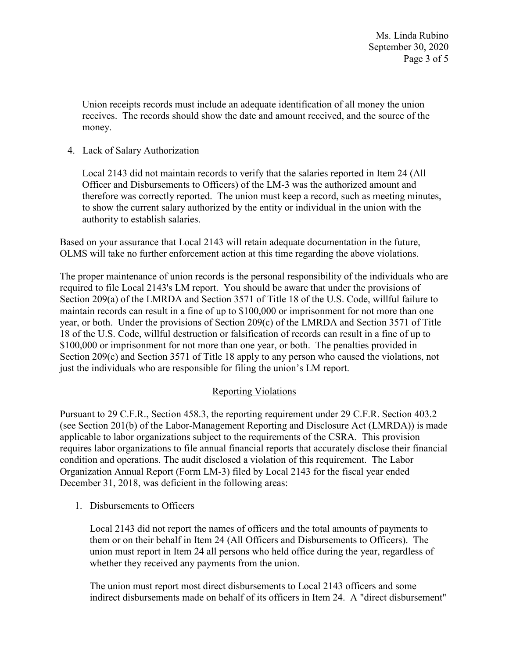Union receipts records must include an adequate identification of all money the union receives. The records should show the date and amount received, and the source of the money.

4. Lack of Salary Authorization

Local 2143 did not maintain records to verify that the salaries reported in Item 24 (All Officer and Disbursements to Officers) of the LM-3 was the authorized amount and therefore was correctly reported. The union must keep a record, such as meeting minutes, to show the current salary authorized by the entity or individual in the union with the authority to establish salaries.

 Based on your assurance that Local 2143 will retain adequate documentation in the future, OLMS will take no further enforcement action at this time regarding the above violations.

 just the individuals who are responsible for filing the union's LM report. The proper maintenance of union records is the personal responsibility of the individuals who are required to file Local 2143's LM report. You should be aware that under the provisions of Section 209(a) of the LMRDA and Section 3571 of Title 18 of the U.S. Code, willful failure to maintain records can result in a fine of up to \$100,000 or imprisonment for not more than one year, or both. Under the provisions of Section 209(c) of the LMRDA and Section 3571 of Title 18 of the U.S. Code, willful destruction or falsification of records can result in a fine of up to \$100,000 or imprisonment for not more than one year, or both. The penalties provided in Section 209(c) and Section 3571 of Title 18 apply to any person who caused the violations, not

# Reporting Violations

 condition and operations. The audit disclosed a violation of this requirement. The Labor Organization Annual Report (Form LM-3) filed by Local 2143 for the fiscal year ended Pursuant to 29 C.F.R., Section 458.3, the reporting requirement under 29 C.F.R. Section 403.2 (see Section 201(b) of the Labor-Management Reporting and Disclosure Act (LMRDA)) is made applicable to labor organizations subject to the requirements of the CSRA. This provision requires labor organizations to file annual financial reports that accurately disclose their financial December 31, 2018, was deficient in the following areas:

1. Disbursements to Officers

Local 2143 did not report the names of officers and the total amounts of payments to them or on their behalf in Item 24 (All Officers and Disbursements to Officers). The union must report in Item 24 all persons who held office during the year, regardless of whether they received any payments from the union.

The union must report most direct disbursements to Local 2143 officers and some indirect disbursements made on behalf of its officers in Item 24. A "direct disbursement"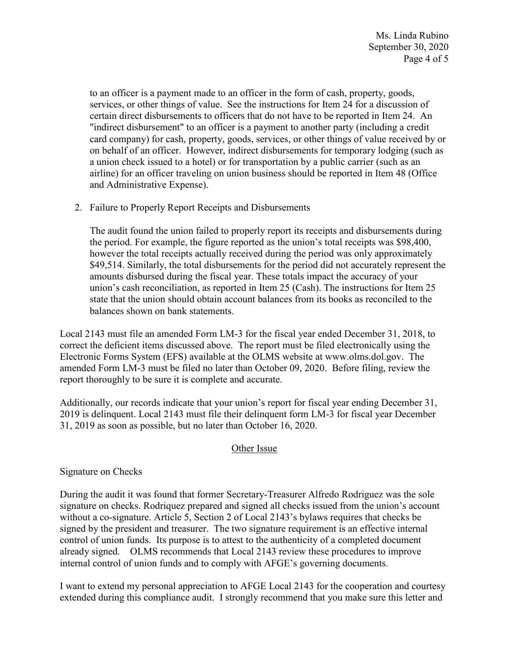services, or other things of value. See the instructions for Item 24 for a discussion of "indirect disbursement" to an officer is a payment to another party (including a credit a union check issued to a hotel) or for transportation by a public carrier (such as an to an officer is a payment made to an officer in the form of cash, property, goods, certain direct disbursements to officers that do not have to be reported in Item 24. An card company) for cash, property, goods, services, or other things of value received by or on behalf of an officer. However, indirect disbursements for temporary lodging (such as airline) for an officer traveling on union business should be reported in Item 48 (Office and Administrative Expense).

2. Failure to Properly Report Receipts and Disbursements

 however the total receipts actually received during the period was only approximately The audit found the union failed to properly report its receipts and disbursements during the period. For example, the figure reported as the union's total receipts was \$98,400, \$49,514. Similarly, the total disbursements for the period did not accurately represent the amounts disbursed during the fiscal year. These totals impact the accuracy of your union's cash reconciliation, as reported in Item 25 (Cash). The instructions for Item 25 state that the union should obtain account balances from its books as reconciled to the balances shown on bank statements.

Local 2143 must file an amended Form LM-3 for the fiscal year ended December 31, 2018, to correct the deficient items discussed above. The report must be filed electronically using the Electronic Forms System (EFS) available at the OLMS website at [www.olms.dol.gov.](www.olms.dol.gov) The amended Form LM-3 must be filed no later than October 09, 2020. Before filing, review the report thoroughly to be sure it is complete and accurate.

 Additionally, our records indicate that your union's report for fiscal year ending December 31, 2019 is delinquent. Local 2143 must file their delinquent form LM-3 for fiscal year December 31, 2019 as soon as possible, but no later than October 16, 2020.

# Other Issue

# Signature on Checks

 already signed. OLMS recommends that Local 2143 review these procedures to improve During the audit it was found that former Secretary-Treasurer Alfredo Rodriguez was the sole signature on checks. Rodriquez prepared and signed all checks issued from the union's account without a co-signature. Article 5, Section 2 of Local 2143's bylaws requires that checks be signed by the president and treasurer. The two signature requirement is an effective internal control of union funds. Its purpose is to attest to the authenticity of a completed document internal control of union funds and to comply with AFGE's governing documents.

I want to extend my personal appreciation to AFGE Local 2143 for the cooperation and courtesy extended during this compliance audit. I strongly recommend that you make sure this letter and